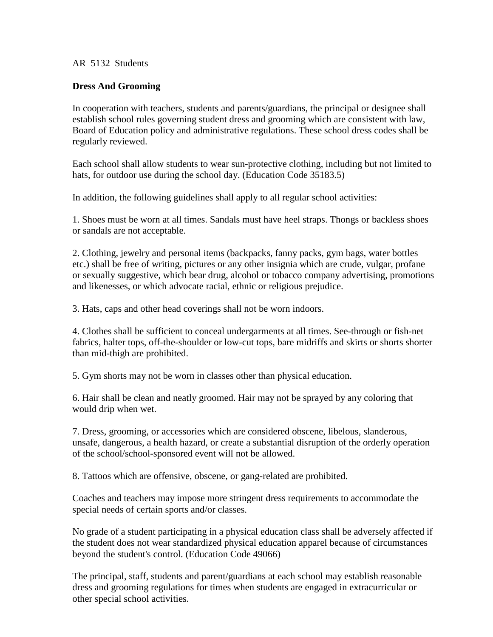## AR 5132 Students

## **Dress And Grooming**

In cooperation with teachers, students and parents/guardians, the principal or designee shall establish school rules governing student dress and grooming which are consistent with law, Board of Education policy and administrative regulations. These school dress codes shall be regularly reviewed.

Each school shall allow students to wear sun-protective clothing, including but not limited to hats, for outdoor use during the school day. (Education Code [35183.5\)](http://www.gamutonline.net/district/alameda/displayPolicy/249119/5)

In addition, the following guidelines shall apply to all regular school activities:

1. Shoes must be worn at all times. Sandals must have heel straps. Thongs or backless shoes or sandals are not acceptable.

2. Clothing, jewelry and personal items (backpacks, fanny packs, gym bags, water bottles etc.) shall be free of writing, pictures or any other insignia which are crude, vulgar, profane or sexually suggestive, which bear drug, alcohol or tobacco company advertising, promotions and likenesses, or which advocate racial, ethnic or religious prejudice.

3. Hats, caps and other head coverings shall not be worn indoors.

4. Clothes shall be sufficient to conceal undergarments at all times. See-through or fish-net fabrics, halter tops, off-the-shoulder or low-cut tops, bare midriffs and skirts or shorts shorter than mid-thigh are prohibited.

5. Gym shorts may not be worn in classes other than physical education.

6. Hair shall be clean and neatly groomed. Hair may not be sprayed by any coloring that would drip when wet.

7. Dress, grooming, or accessories which are considered obscene, libelous, slanderous, unsafe, dangerous, a health hazard, or create a substantial disruption of the orderly operation of the school/school-sponsored event will not be allowed.

8. Tattoos which are offensive, obscene, or gang-related are prohibited.

Coaches and teachers may impose more stringent dress requirements to accommodate the special needs of certain sports and/or classes.

No grade of a student participating in a physical education class shall be adversely affected if the student does not wear standardized physical education apparel because of circumstances beyond the student's control. (Education Code [49066\)](http://www.gamutonline.net/district/alameda/displayPolicy/132284/5)

The principal, staff, students and parent/guardians at each school may establish reasonable dress and grooming regulations for times when students are engaged in extracurricular or other special school activities.